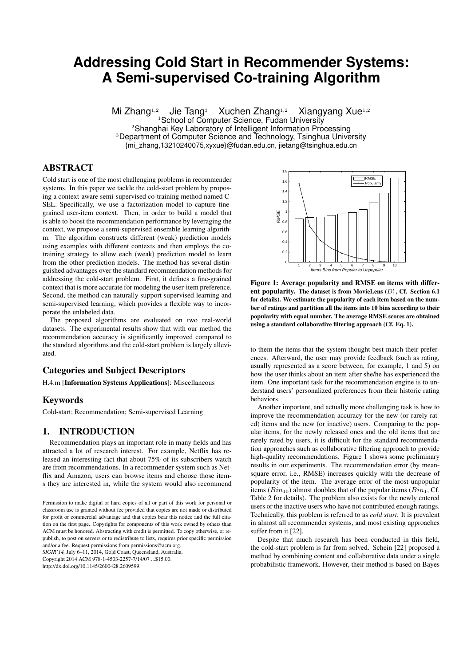# **Addressing Cold Start in Recommender Systems: A Semi-supervised Co-training Algorithm**

Mi Zhang1*,*<sup>2</sup> Jie Tang<sup>3</sup> Xuchen Zhang1*,*<sup>2</sup> Xiangyang Xue1*,*<sup>2</sup> <sup>1</sup>School of Computer Science, Fudan University  $2$ Shanghai Key Laboratory of Intelligent Information Processing <sup>3</sup>Department of Computer Science and Technology, Tsinghua University {mi\_zhang,13210240075,xyxue}@fudan.edu.cn, jietang@tsinghua.edu.cn

## ABSTRACT

Cold start is one of the most challenging problems in recommender systems. In this paper we tackle the cold-start problem by proposing a context-aware semi-supervised co-training method named C-SEL. Specifically, we use a factorization model to capture finegrained user-item context. Then, in order to build a model that is able to boost the recommendation performance by leveraging the context, we propose a semi-supervised ensemble learning algorithm. The algorithm constructs different (weak) prediction models using examples with different contexts and then employs the cotraining strategy to allow each (weak) prediction model to learn from the other prediction models. The method has several distinguished advantages over the standard recommendation methods for addressing the cold-start problem. First, it defines a fine-grained context that is more accurate for modeling the user-item preference. Second, the method can naturally support supervised learning and semi-supervised learning, which provides a flexible way to incorporate the unlabeled data.

The proposed algorithms are evaluated on two real-world datasets. The experimental results show that with our method the recommendation accuracy is significantly improved compared to the standard algorithms and the cold-start problem is largely alleviated.

# Categories and Subject Descriptors

H.4.m [Information Systems Applications]: Miscellaneous

## Keywords

Cold-start; Recommendation; Semi-supervised Learning

## 1. INTRODUCTION

Recommendation plays an important role in many fields and has attracted a lot of research interest. For example, Netflix has released an interesting fact that about 75% of its subscribers watch are from recommendations. In a recommender system such as Netflix and Amazon, users can browse items and choose those items they are interested in, while the system would also recommend

*SIGIR'14,* July 6–11, 2014, Gold Coast, Queensland, Australia. Copyright 2014 ACM 978-1-4503-2257-7/14/07 ...\$15.00.





Figure 1: Average popularity and RMSE on items with different popularity. The dataset is from MovieLens (*D′* 1 , Cf. Section 6.1 for details). We estimate the popularity of each item based on the number of ratings and partition all the items into 10 bins according to their popularity with equal number. The average RMSE scores are obtained using a standard collaborative filtering approach (Cf. Eq. 1).

to them the items that the system thought best match their preferences. Afterward, the user may provide feedback (such as rating, usually represented as a score between, for example, 1 and 5) on how the user thinks about an item after she/he has experienced the item. One important task for the recommendation engine is to understand users' personalized preferences from their historic rating behaviors.

Another important, and actually more challenging task is how to improve the recommendation accuracy for the new (or rarely rated) items and the new (or inactive) users. Comparing to the popular items, for the newly released ones and the old items that are rarely rated by users, it is difficult for the standard recommendation approaches such as collaborative filtering approach to provide high-quality recommendations. Figure 1 shows some preliminary results in our experiments. The recommendation error (by meansquare error, i.e., RMSE) increases quickly with the decrease of popularity of the item. The average error of the most unpopular items  $(Bin_{10})$  almost doubles that of the popular items  $(Bin_1, Cf)$ . Table 2 for details). The problem also exists for the newly entered users or the inactive users who have not contributed enough ratings. Technically, this problem is referred to as *cold start*. It is prevalent in almost all recommender systems, and most existing approaches suffer from it [22].

Despite that much research has been conducted in this field, the cold-start problem is far from solved. Schein [22] proposed a method by combining content and collaborative data under a single probabilistic framework. However, their method is based on Bayes

Permission to make digital or hard copies of all or part of this work for personal or classroom use is granted without fee provided that copies are not made or distributed for profit or commercial advantage and that copies bear this notice and the full citation on the first page. Copyrights for components of this work owned by others than ACM must be honored. Abstracting with credit is permitted. To copy otherwise, or republish, to post on servers or to redistribute to lists, requires prior specific permission and/or a fee. Request permissions from permissions@acm.org.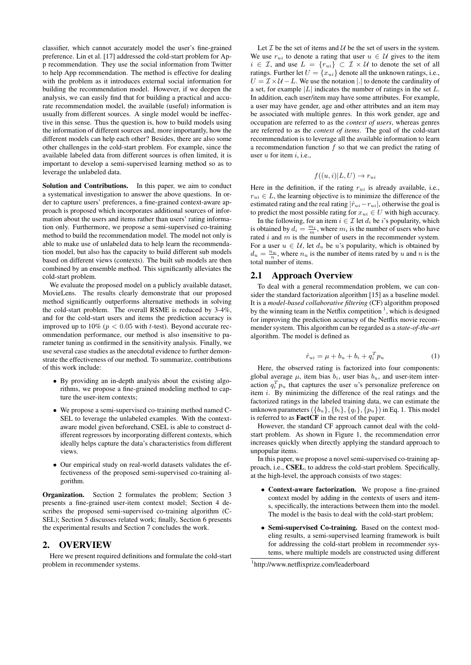classifier, which cannot accurately model the user's fine-grained preference. Lin et al. [17] addressed the cold-start problem for App recommendation. They use the social information from Twitter to help App recommendation. The method is effective for dealing with the problem as it introduces external social information for building the recommendation model. However, if we deepen the analysis, we can easily find that for building a practical and accurate recommendation model, the available (useful) information is usually from different sources. A single model would be ineffective in this sense. Thus the question is, how to build models using the information of different sources and, more importantly, how the different models can help each other? Besides, there are also some other challenges in the cold-start problem. For example, since the available labeled data from different sources is often limited, it is important to develop a semi-supervised learning method so as to leverage the unlabeled data.

Solution and Contributions. In this paper, we aim to conduct a systematical investigation to answer the above questions. In order to capture users' preferences, a fine-grained context-aware approach is proposed which incorporates additional sources of information about the users and items rather than users' rating information only. Furthermore, we propose a semi-supervised co-training method to build the recommendation model. The model not only is able to make use of unlabeled data to help learn the recommendation model, but also has the capacity to build different sub models based on different views (contexts). The built sub models are then combined by an ensemble method. This significantly alleviates the cold-start problem.

We evaluate the proposed model on a publicly available dataset, MovieLens. The results clearly demonstrate that our proposed method significantly outperforms alternative methods in solving the cold-start problem. The overall RSME is reduced by 3-4%, and for the cold-start users and items the prediction accuracy is improved up to  $10\%$  ( $p < 0.05$  with *t*-test). Beyond accurate recommendation performance, our method is also insensitive to parameter tuning as confirmed in the sensitivity analysis. Finally, we use several case studies as the anecdotal evidence to further demonstrate the effectiveness of our method. To summarize, contributions of this work include:

- *•* By providing an in-depth analysis about the existing algorithms, we propose a fine-grained modeling method to capture the user-item contexts;
- *•* We propose a semi-supervised co-training method named C-SEL to leverage the unlabeled examples. With the contextaware model given beforehand, CSEL is able to construct different regressors by incorporating different contexts, which ideally helps capture the data's characteristics from different views.
- *•* Our empirical study on real-world datasets validates the effectiveness of the proposed semi-supervised co-training algorithm.

Organization. Section 2 formulates the problem; Section 3 presents a fine-grained user-item context model; Section 4 describes the proposed semi-supervised co-training algorithm (C-SEL); Section 5 discusses related work; finally, Section 6 presents the experimental results and Section 7 concludes the work.

#### 2. OVERVIEW

Here we present required definitions and formulate the cold-start problem in recommender systems.

Let  $I$  be the set of items and  $U$  be the set of users in the system. We use  $r_{ui}$  to denote a rating that user  $u \in \mathcal{U}$  gives to the item *i* ∈ *I*, and use  $L = \{r_{ui}\}\subset I \times U$  to denote the set of all ratings. Further let  $U = \{x_{ui}\}$  denote all the unknown ratings, i.e., *U* = *I* × *U* − *L*. We use the notation |. To denote the cardinality of a set, for example *|L|* indicates the number of ratings in the set *L*. In addition, each user/item may have some attributes. For example, a user may have gender, age and other attributes and an item may be associated with multiple genres. In this work gender, age and occupation are referred to as the *context of users*, whereas genres are referred to as the *context of items*. The goal of the cold-start recommendation is to leverage all the available information to learn a recommendation function *f* so that we can predict the rating of user *u* for item *i*, i.e.,

$$
f((u,i)|L, U) \to r_{ui}
$$

Here in the definition, if the rating *rui* is already available, i.e.,  $r_{ui} \in L$ , the learning objective is to minimize the difference of the estimated rating and the real rating  $|\hat{r}_{ui} - r_{ui}|$ , otherwise the goal is to predict the most possible rating for  $x_{ui} \in U$  with high accuracy.

In the following, for an item  $i \in \mathcal{I}$  let  $d_i$  be  $i$ 's popularity, which is obtained by  $d_i = \frac{m_i}{m}$ , where  $m_i$  is the number of users who have rated *i* and *m* is the number of users in the recommender system. For a user  $u \in U$ , let  $d_u$  be  $u$ 's popularity, which is obtained by  $d_u = \frac{n_u}{n}$ , where  $n_u$  is the number of items rated by *u* and *n* is the total number of items.

## 2.1 Approach Overview

To deal with a general recommendation problem, we can consider the standard factorization algorithm [15] as a baseline model. It is a *model-based collaborative filtering* (CF) algorithm proposed by the winning team in the Netflix competition  $\frac{1}{1}$ , which is designed for improving the prediction accuracy of the Netflix movie recommender system. This algorithm can be regarded as a *state-of-the-art* algorithm. The model is defined as

$$
\hat{r}_{ui} = \mu + b_u + b_i + q_i^T p_u \tag{1}
$$

Here, the observed rating is factorized into four components: global average  $\mu$ , item bias  $b_i$ , user bias  $b_{\mu}$ , and user-item interaction  $q_i^T p_u$  that captures the user *u*'s personalize preference on item *i*. By minimizing the difference of the real ratings and the factorized ratings in the labeled training data, we can estimate the unknown parameters  $({b_u}, {b_i}, {q_i}, {q_i}, {p_u})$  in Eq. 1. This model is referred to as FactCF in the rest of the paper.

However, the standard CF approach cannot deal with the coldstart problem. As shown in Figure 1, the recommendation error increases quickly when directly applying the standard approach to unpopular items.

In this paper, we propose a novel semi-supervised co-training approach, i.e., CSEL, to address the cold-start problem. Specifically, at the high-level, the approach consists of two stages:

- *•* Context-aware factorization. We propose a fine-grained context model by adding in the contexts of users and items, specifically, the interactions between them into the model. The model is the basis to deal with the cold-start problem;
- *•* Semi-supervised Co-training. Based on the context modeling results, a semi-supervised learning framework is built for addressing the cold-start problem in recommender systems, where multiple models are constructed using different

<sup>1</sup> http://www.netflixprize.com/leaderboard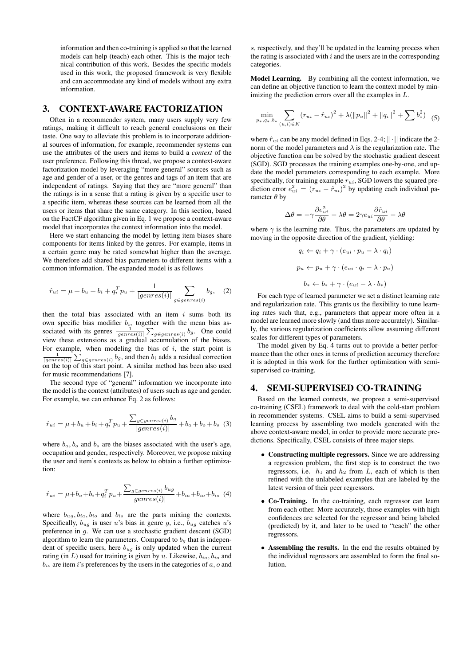information and then co-training is applied so that the learned models can help (teach) each other. This is the major technical contribution of this work. Besides the specific models used in this work, the proposed framework is very flexible and can accommodate any kind of models without any extra information.

#### 3. CONTEXT-AWARE FACTORIZATION

Often in a recommender system, many users supply very few ratings, making it difficult to reach general conclusions on their taste. One way to alleviate this problem is to incorporate additional sources of information, for example, recommender systems can use the attributes of the users and items to build a *context* of the user preference. Following this thread, we propose a context-aware factorization model by leveraging "more general" sources such as age and gender of a user, or the genres and tags of an item that are independent of ratings. Saying that they are "more general" than the ratings is in a sense that a rating is given by a specific user to a specific item, whereas these sources can be learned from all the users or items that share the same category. In this section, based on the FactCF algorithm given in Eq. 1 we propose a context-aware model that incorporates the context information into the model.

Here we start enhancing the model by letting item biases share components for items linked by the genres. For example, items in a certain genre may be rated somewhat higher than the average. We therefore add shared bias parameters to different items with a common information. The expanded model is as follows

$$
\hat{r}_{ui} = \mu + b_u + b_i + q_i^T p_u + \frac{1}{|genres(i)|} \sum_{g \in genres(i)} b_g, \quad (2)
$$

then the total bias associated with an item *i* sums both its own specific bias modifier *bi*, together with the mean bias associated with its genres  $\frac{1}{|genres(i)|} \sum_{g \in genes(i)} b_g$ . One could view these extensions as a gradual accumulation of the biases. For example, when modeling the bias of *i*, the start point is  $\frac{1}{|genres(i)|}$   $\sum_{g \in genres(i)} b_g$ , and then  $b_i$  adds a residual correction on the top of this start point. A similar method has been also used for music recommendations [7].

The second type of "general" information we incorporate into the model is the context (attributes) of users such as age and gender. For example, we can enhance Eq. 2 as follows:

$$
\hat{r}_{ui} = \mu + b_u + b_i + q_i^T p_u + \frac{\sum_{g \in genres(i)} b_g}{|geners(i)|} + b_a + b_o + b_s
$$
 (3)

where  $b_a$ ,  $b_o$  and  $b_s$  are the biases associated with the user's age, occupation and gender, respectively. Moreover, we propose mixing the user and item's contexts as below to obtain a further optimization:

$$
\hat{r}_{ui} = \mu + b_u + b_i + q_i^T p_u + \frac{\sum_{g \in genres(i)} b_{ug}}{|genres(i)|} + b_{ia} + b_{io} + b_{is} \tag{4}
$$

where  $b_{u}$ <sup>*,*</sup> $b_{ia}$ *,* $b_{io}$  and  $b_{is}$  are the parts mixing the contexts. Specifically,  $b_{uq}$  is user *u*'s bias in genre *g*, i.e.,  $b_{uq}$  catches *u*'s preference in *g*. We can use a stochastic gradient descent (SGD) algorithm to learn the parameters. Compared to  $b<sub>g</sub>$  that is independent of specific users, here *bug* is only updated when the current rating (in *L*) used for training is given by *u*. Likewise, *bia, bio* and *bis* are item *i*'s preferences by the users in the categories of *a, o* and

*s*, respectively, and they'll be updated in the learning process when the rating is associated with *i* and the users are in the corresponding categories.

Model Learning. By combining all the context information, we can define an objective function to learn the context model by minimizing the prediction errors over all the examples in *L*.

$$
\min_{p_*, q_*, b_*} \sum_{(u,i)\in K} (r_{ui} - \hat{r}_{ui})^2 + \lambda (||p_u||^2 + ||q_i||^2 + \sum b_*^2) \tag{5}
$$

where  $\hat{r}_{ui}$  can be any model defined in Eqs. 2-4;  $||\cdot||$  indicate the 2norm of the model parameters and  $\lambda$  is the regularization rate. The objective function can be solved by the stochastic gradient descent (SGD). SGD processes the training examples one-by-one, and update the model parameters corresponding to each example. More specifically, for training example *rui*, SGD lowers the squared prediction error  $e_{ui}^2 = (r_{ui} - \hat{r}_{ui})^2$  by updating each individual parameter *θ* by

$$
\Delta \theta = -\gamma \frac{\partial e_{ui}^2}{\partial \theta} - \lambda \theta = 2\gamma e_{ui} \frac{\partial \hat{r}_{ui}}{\partial \theta} - \lambda \theta
$$

where  $\gamma$  is the learning rate. Thus, the parameters are updated by moving in the opposite direction of the gradient, yielding:

$$
q_i \leftarrow q_i + \gamma \cdot (e_{ui} \cdot p_u - \lambda \cdot q_i)
$$

$$
p_u \leftarrow p_u + \gamma \cdot (e_{ui} \cdot q_i - \lambda \cdot p_u)
$$

$$
b_* \leftarrow b_* + \gamma \cdot (e_{ui} - \lambda \cdot b_*)
$$

For each type of learned parameter we set a distinct learning rate and regularization rate. This grants us the flexibility to tune learning rates such that, e.g., parameters that appear more often in a model are learned more slowly (and thus more accurately). Similarly, the various regularization coefficients allow assuming different scales for different types of parameters.

The model given by Eq. 4 turns out to provide a better performance than the other ones in terms of prediction accuracy therefore it is adopted in this work for the further optimization with semisupervised co-training.

#### 4. SEMI-SUPERVISED CO-TRAINING

Based on the learned contexts, we propose a semi-supervised co-training (CSEL) framework to deal with the cold-start problem in recommender systems. CSEL aims to build a semi-supervised learning process by assembling two models generated with the above context-aware model, in order to provide more accurate predictions. Specifically, CSEL consists of three major steps.

- Constructing multiple regressors. Since we are addressing a regression problem, the first step is to construct the two regressors, i.e.  $h_1$  and  $h_2$  from  $L$ , each of which is then refined with the unlabeled examples that are labeled by the latest version of their peer regressors.
- Co-Training. In the co-training, each regressor can learn from each other. More accurately, those examples with high confidences are selected for the regressor and being labeled (predicted) by it, and later to be used to "teach" the other regressors.
- Assembling the results. In the end the results obtained by the individual regressors are assembled to form the final solution.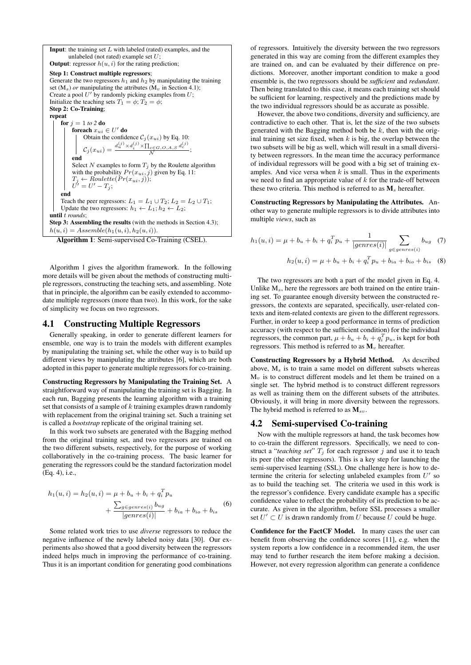Input: the training set *L* with labeled (rated) examples, and the unlabeled (not rated) example set *U*; **Output:** regressor  $h(u, i)$  for the rating prediction; Step 1: Construct multiple regressors; Generate the two regressors  $h_1$  and  $h_2$  by manipulating the training set  $(M_s)$  *or* manipulating the attributes  $(M_v$  in Section 4.1); Create a pool  $U'$  by randomly picking examples from  $U$ ; Initialize the teaching sets  $T_1 = \phi$ ;  $T_2 = \phi$ ; Step 2: Co-Training; repeat **for**  $j = 1$  *to* 2 **do** foreach  $x_{ui} \in U'$  do Obtain the confidence  $C_j(x_{ui})$  by Eq. 10:  $C_j(x_{ui}) = \frac{d_u^{(j)} \times d_i^{(j)} \times \prod_{c \in G, O, A, S} d_c^{(j)}}{\mathcal{N}}$  $\frac{c \in G, O, A, S^{-c}}{\mathcal{N}}$ end Select *N* examples to form  $T_j$  by the Roulette algorithm with the probability  $Pr(x_{ui}, j)$  given by Eq. 11:  $T_j \leftarrow \text{Roulette}(Pr(x_{ui}, j));$  $U' = U' - T_j$ ; end Teach the peer regressors:  $L_1 = L_1 \cup T_2$ ;  $L_2 = L_2 \cup T_1$ ; Update the two regressors:  $h_1 \leftarrow L_1; h_2 \leftarrow L_2;$ until *t rounds*; Step 3: Assembling the results (with the methods in Section 4.3);  $h(u, i) = Assemble(h_1(u, i), h_2(u, i)).$ Algorithm 1: Semi-supervised Co-Training (CSEL).

Algorithm 1 gives the algorithm framework. In the following more details will be given about the methods of constructing multiple regressors, constructing the teaching sets, and assembling. Note that in principle, the algorithm can be easily extended to accommodate multiple regressors (more than two). In this work, for the sake of simplicity we focus on two regressors.

#### 4.1 Constructing Multiple Regressors

Generally speaking, in order to generate different learners for ensemble, one way is to train the models with different examples by manipulating the training set, while the other way is to build up different views by manipulating the attributes [6], which are both adopted in this paper to generate multiple regressors for co-training.

Constructing Regressors by Manipulating the Training Set. A straightforward way of manipulating the training set is Bagging. In each run, Bagging presents the learning algorithm with a training set that consists of a sample of *k* training examples drawn randomly with replacement from the original training set. Such a training set is called a *bootstrap* replicate of the original training set.

In this work two subsets are generated with the Bagging method from the original training set, and two regressors are trained on the two different subsets, respectively, for the purpose of working collaboratively in the co-training process. The basic learner for generating the regressors could be the standard factorization model (Eq. 4), i.e.,

$$
h_1(u, i) = h_2(u, i) = \mu + b_u + b_i + q_i^T p_u
$$
  
+ 
$$
\frac{\sum_{g \in genres(i)} b_{ug}}{|gener(s)|} + b_{ia} + b_{io} + b_{is}
$$
 (6)

Some related work tries to use *diverse* regressors to reduce the negative influence of the newly labeled noisy data [30]. Our experiments also showed that a good diversity between the regressors indeed helps much in improving the performance of co-training. Thus it is an important condition for generating good combinations

of regressors. Intuitively the diversity between the two regressors generated in this way are coming from the different examples they are trained on, and can be evaluated by their difference on predictions. Moreover, another important condition to make a good ensemble is, the two regressors should be *sufficient* and *redundant*. Then being translated to this case, it means each training set should be sufficient for learning, respectively and the predictions made by the two individual regressors should be as accurate as possible.

However, the above two conditions, diversity and sufficiency, are contradictive to each other. That is, let the size of the two subsets generated with the Bagging method both be *k*, then with the original training set size fixed, when *k* is big, the overlap between the two subsets will be big as well, which will result in a small diversity between regressors. In the mean time the accuracy performance of individual regressors will be good with a big set of training examples. And vice versa when *k* is small. Thus in the experiments we need to find an appropriate value of *k* for the trade-off between these two criteria. This method is referred to as M*<sup>s</sup>* hereafter.

Constructing Regressors by Manipulating the Attributes. Another way to generate multiple regressors is to divide attributes into multiple *views*, such as

$$
h_1(u,i) = \mu + b_u + b_i + q_i^T p_u + \frac{1}{|genres(i)|} \sum_{g \in genres(i)} b_{ug} \quad (7)
$$

$$
h_2(u,i) = \mu + b_u + b_i + q_i^T p_u + b_{ia} + b_{io} + b_{is} \quad (8)
$$

The two regressors are both a part of the model given in Eq. 4. Unlike M*s*, here the regressors are both trained on the entire training set. To guarantee enough diversity between the constructed regressors, the contexts are separated, specifically, user-related contexts and item-related contexts are given to the different regressors. Further, in order to keep a good performance in terms of prediction accuracy (with respect to the sufficient condition) for the individual regressors, the common part,  $\mu + b_u + b_i + q_i^T p_u$ , is kept for both regressors. This method is referred to as M*<sup>v</sup>* hereafter.

Constructing Regressors by a Hybrid Method. As described above, M*<sup>s</sup>* is to train a same model on different subsets whereas M*<sup>v</sup>* is to construct different models and let them be trained on a single set. The hybrid method is to construct different regressors as well as training them on the different subsets of the attributes. Obviously, it will bring in more diversity between the regressors. The hybrid method is referred to as M*sv*.

#### 4.2 Semi-supervised Co-training

Now with the multiple regressors at hand, the task becomes how to co-train the different regressors. Specifically, we need to construct a "*teaching set*"  $T_j$  for each regressor  $j$  and use it to teach its peer (the other regressors). This is a key step for launching the semi-supervised learning (SSL). One challenge here is how to determine the criteria for selecting unlabeled examples from *U ′* so as to build the teaching set. The criteria we used in this work is the regressor's confidence. Every candidate example has a specific confidence value to reflect the probability of its prediction to be accurate. As given in the algorithm, before SSL processes a smaller set  $U' \subset U$  is drawn randomly from *U* because *U* could be huge.

Confidence for the FactCF Model. In many cases the user can benefit from observing the confidence scores [11], e.g. when the system reports a low confidence in a recommended item, the user may tend to further research the item before making a decision. However, not every regression algorithm can generate a confidence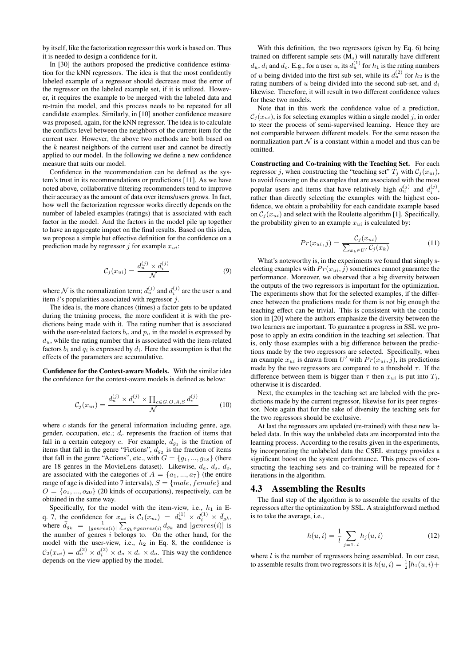by itself, like the factorization regressor this work is based on. Thus it is needed to design a confidence for it.

In [30] the authors proposed the predictive confidence estimation for the kNN regressors. The idea is that the most confidently labeled example of a regressor should decrease most the error of the regressor on the labeled example set, if it is utilized. However, it requires the example to be merged with the labeled data and re-train the model, and this process needs to be repeated for all candidate examples. Similarly, in [10] another confidence measure was proposed, again, for the kNN regressor. The idea is to calculate the conflicts level between the neighbors of the current item for the current user. However, the above two methods are both based on the *k* nearest neighbors of the current user and cannot be directly applied to our model. In the following we define a new confidence measure that suits our model.

Confidence in the recommendation can be defined as the system's trust in its recommendations or predictions [11]. As we have noted above, collaborative filtering recommenders tend to improve their accuracy as the amount of data over items/users grows. In fact, how well the factorization regressor works directly depends on the number of labeled examples (ratings) that is associated with each factor in the model. And the factors in the model pile up together to have an aggregate impact on the final results. Based on this idea, we propose a simple but effective definition for the confidence on a prediction made by regressor *j* for example *xui*:

$$
\mathcal{C}_j(x_{ui}) = \frac{d_u^{(j)} \times d_i^{(j)}}{\mathcal{N}} \tag{9}
$$

where  $N$  is the normalization term;  $d_u^{(j)}$  and  $d_i^{(j)}$  are the user  $u$  and item *i*'s popularities associated with regressor *j*.

The idea is, the more chances (times) a factor gets to be updated during the training process, the more confident it is with the predictions being made with it. The rating number that is associated with the user-related factors  $b_u$  and  $p_u$  in the model is expressed by  $d<sub>u</sub>$ , while the rating number that is associated with the item-related factors  $b_i$  and  $q_i$  is expressed by  $d_i$ . Here the assumption is that the effects of the parameters are accumulative.

Confidence for the Context-aware Models. With the similar idea the confidence for the context-aware models is defined as below:

$$
C_j(x_{ui}) = \frac{d_u^{(j)} \times d_i^{(j)} \times \prod_{c \in G, O, A, S} d_c^{(j)}}{\mathcal{N}}
$$
(10)

where *c* stands for the general information including genre, age, gender, occupation, etc.; *d<sup>c</sup>* represents the fraction of items that fall in a certain category *c*. For example,  $d_{g_1}$  is the fraction of items that fall in the genre "Fictions",  $d_{g_2}$  is the fraction of items that fall in the genre "Actions", etc., with  $G = \{g_1, \ldots, g_{18}\}\$  (there are 18 genres in the MovieLens dataset). Likewise, *da*, *ds*, *do*, are associated with the categories of  $A = \{a_1, ..., a_7\}$  (the entire range of age is divided into 7 intervals),  $S = \{male, female\}$  and  $O = \{o_1, ..., o_{20}\}\$  (20 kinds of occupations), respectively, can be obtained in the same way.

Specifically, for the model with the item-view, i.e.,  $h_1$  in Eq. 7, the confidence for  $x_{ui}$  is  $C_1(x_{ui}) = d_u^{(1)} \times d_i^{(1)} \times \bar{d}_{gk}$ , where  $\bar{d}_{g_k} = \frac{1}{|genres(i)|} \sum_{g_k \in genres(i)} d_{g_k}$  and  $|genres(i)|$  is the number of genres *i* belongs to. On the other hand, for the model with the user-view, i.e.,  $h_2$  in Eq. 8, the confidence is  $C_2(x_{ui}) = d_u^{(2)} \times d_i^{(2)} \times d_a \times d_s \times d_o$ . This way the confidence depends on the view applied by the model.

With this definition, the two regressors (given by Eq. 6) being trained on different sample sets (M*s*) will naturally have different  $d_u, d_i$  and  $d_c$ . E.g., for a user  $u$ , its  $d_u^{(1)}$  for  $h_1$  is the rating numbers of *u* being divided into the first sub-set, while its  $d_u^{(2)}$  for  $h_2$  is the rating numbers of *u* being divided into the second sub-set, and *d<sup>i</sup>* likewise. Therefore, it will result in two different confidence values for these two models.

Note that in this work the confidence value of a prediction,  $C_i(x_{ui})$ , is for selecting examples within a single model *j*, in order to steer the process of semi-supervised learning. Hence they are not comparable between different models. For the same reason the normalization part  $N$  is a constant within a model and thus can be omitted.

Constructing and Co-training with the Teaching Set. For each regressor *j*, when constructing the "teaching set"  $T_i$  with  $C_i(x_{ui})$ , to avoid focusing on the examples that are associated with the most popular users and items that have relatively high  $d_u^{(j)}$  and  $d_i^{(j)}$ , rather than directly selecting the examples with the highest confidence, we obtain a probability for each candidate example based on  $C_i(x_{ui})$  and select with the Roulette algorithm [1]. Specifically, the probability given to an example  $x_{ui}$  is calculated by:

$$
Pr(x_{ui}, j) = \frac{\mathcal{C}_j(x_{ui})}{\sum_{x_k \in U'} \mathcal{C}_j(x_k)}
$$
(11)

What's noteworthy is, in the experiments we found that simply selecting examples with  $Pr(x_{ui}, j)$  sometimes cannot guarantee the performance. Moreover, we observed that a big diversity between the outputs of the two regressors is important for the optimization. The experiments show that for the selected examples, if the difference between the predictions made for them is not big enough the teaching effect can be trivial. This is consistent with the conclusion in [20] where the authors emphasize the diversity between the two learners are important. To guarantee a progress in SSL we propose to apply an extra condition in the teaching set selection. That is, only those examples with a big difference between the predictions made by the two regressors are selected. Specifically, when an example  $x_{ui}$  is drawn from U' with  $Pr(x_{ui}, j)$ , its predictions made by the two regressors are compared to a threshold  $\tau$ . If the difference between them is bigger than  $\tau$  then  $x_{ui}$  is put into  $T_i$ , otherwise it is discarded.

Next, the examples in the teaching set are labeled with the predictions made by the current regressor, likewise for its peer regressor. Note again that for the sake of diversity the teaching sets for the two regressors should be exclusive.

At last the regressors are updated (re-trained) with these new labeled data. In this way the unlabeled data are incorporated into the learning process. According to the results given in the experiments, by incorporating the unlabeled data the CSEL strategy provides a significant boost on the system performance. This process of constructing the teaching sets and co-training will be repeated for *t* iterations in the algorithm.

#### 4.3 Assembling the Results

The final step of the algorithm is to assemble the results of the regressors after the optimization by SSL. A straightforward method is to take the average, i.e.,

$$
h(u,i) = \frac{1}{l} \sum_{j=1..l} h_j(u,i)
$$
 (12)

where *l* is the number of regressors being assembled. In our case, to assemble results from two regressors it is  $h(u, i) = \frac{1}{2}[h_1(u, i) +$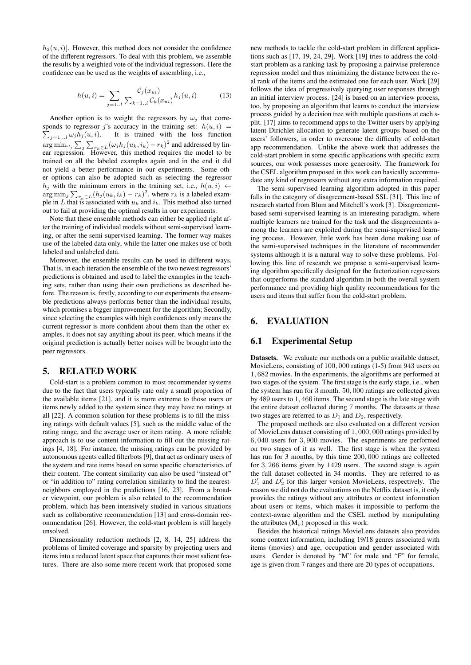$h_2(u, i)$ . However, this method does not consider the confidence of the different regressors. To deal with this problem, we assemble the results by a weighted vote of the individual regressors. Here the confidence can be used as the weights of assembling, i.e.,

$$
h(u,i) = \sum_{j=1..l} \frac{\mathcal{C}_j(x_{ui})}{\sum_{k=1..l} \mathcal{C}_k(x_{ui})} h_j(u,i)
$$
(13)

Another option is to weight the regressors by  $\omega_i$  that corresponds to regressor *j*'s accuracy in the training set:  $h(u, i)$  =  $\sum_{j=1...l} \omega_j h_j(u,i).$ It is trained with the loss function  $\arg \min_{\omega_j} \sum_j \sum_{r_k \in L} (\omega_j h_j(u_k, i_k) - r_k)^2$  and addressed by linear regression. However, this method requires the model to be trained on all the labeled examples again and in the end it did not yield a better performance in our experiments. Some other options can also be adopted such as selecting the regressor *h*<sup>*j*</sup> with the minimum errors in the training set, i.e., *h*(*u, i*) ←  $\arg \min_j \sum_{r_k \in L} (h_j(u_k, i_k) - r_k)^2$ , where  $r_k$  is a labeled example in *L* that is associated with  $u_k$  and  $i_k$ . This method also turned out to fail at providing the optimal results in our experiments.

Note that these ensemble methods can either be applied right after the training of individual models without semi-supervised learning, or after the semi-supervised learning. The former way makes use of the labeled data only, while the latter one makes use of both labeled and unlabeled data.

Moreover, the ensemble results can be used in different ways. That is, in each iteration the ensemble of the two newest regressors' predictions is obtained and used to label the examples in the teaching sets, rather than using their own predictions as described before. The reason is, firstly, according to our experiments the ensemble predictions always performs better than the individual results, which promises a bigger improvement for the algorithm; Secondly, since selecting the examples with high confidences only means the current regressor is more confident about them than the other examples, it does not say anything about its peer, which means if the original prediction is actually better noises will be brought into the peer regressors.

## 5. RELATED WORK

Cold-start is a problem common to most recommender systems due to the fact that users typically rate only a small proportion of the available items [21], and it is more extreme to those users or items newly added to the system since they may have no ratings at all [22]. A common solution for these problems is to fill the missing ratings with default values [5], such as the middle value of the rating range, and the average user or item rating. A more reliable approach is to use content information to fill out the missing ratings [4, 18]. For instance, the missing ratings can be provided by autonomous agents called filterbots [9], that act as ordinary users of the system and rate items based on some specific characteristics of their content. The content similarity can also be used "instead of" or "in addition to" rating correlation similarity to find the nearestneighbors employed in the predictions [16, 23]. From a broader viewpoint, our problem is also related to the recommendation problem, which has been intensively studied in various situations such as collaborative recommendation [13] and cross-domain recommendation [26]. However, the cold-start problem is still largely unsolved.

Dimensionality reduction methods [2, 8, 14, 25] address the problems of limited coverage and sparsity by projecting users and items into a reduced latent space that captures their most salient features. There are also some more recent work that proposed some

new methods to tackle the cold-start problem in different applications such as [17, 19, 24, 29]. Work [19] tries to address the coldstart problem as a ranking task by proposing a pairwise preference regression model and thus minimizing the distance between the real rank of the items and the estimated one for each user. Work [29] follows the idea of progressively querying user responses through an initial interview process. [24] is based on an interview process, too, by proposing an algorithm that learns to conduct the interview process guided by a decision tree with multiple questions at each split. [17] aims to recommend apps to the Twitter users by applying latent Dirichlet allocation to generate latent groups based on the users' followers, in order to overcome the difficulty of cold-start app recommendation. Unlike the above work that addresses the cold-start problem in some specific applications with specific extra sources, our work possesses more generosity. The framework for the CSEL algorithm proposed in this work can basically accommodate any kind of regressors without any extra information required.

The semi-supervised learning algorithm adopted in this paper falls in the category of disagreement-based SSL [31]. This line of research started from Blum and Mitchell's work [3]. Disagreementbased semi-supervised learning is an interesting paradigm, where multiple learners are trained for the task and the disagreements among the learners are exploited during the semi-supervised learning process. However, little work has been done making use of the semi-supervised techniques in the literature of recommender systems although it is a natural way to solve these problems. Following this line of research we propose a semi-supervised learning algorithm specifically designed for the factorization regressors that outperforms the standard algorithm in both the overall system performance and providing high quality recommendations for the users and items that suffer from the cold-start problem.

## 6. EVALUATION

## 6.1 Experimental Setup

Datasets. We evaluate our methods on a public available dataset, MovieLens, consisting of 100*,* 000 ratings (1-5) from 943 users on 1*,* 682 movies. In the experiments, the algorithms are performed at two stages of the system. The first stage is the early stage, i.e., when the system has run for 3 month. 50*,* 000 ratings are collected given by 489 users to 1*,* 466 items. The second stage is the late stage with the entire dataset collected during 7 months. The datasets at these two stages are referred to as  $D_1$  and  $D_2$ , respectively.

The proposed methods are also evaluated on a different version of MovieLens dataset consisting of 1*,* 000*,* 000 ratings provided by 6*,* 040 users for 3*,* 900 movies. The experiments are performed on two stages of it as well. The first stage is when the system has run for 3 months, by this time 200*,* 000 ratings are collected for 3*,* 266 items given by 1429 users. The second stage is again the full dataset collected in 34 months. They are referred to as  $D'_1$  and  $D'_2$  for this larger version MovieLens, respectively. The reason we did not do the evaluations on the Netflix dataset is, it only provides the ratings without any attributes or context information about users or items, which makes it impossible to perform the context-aware algorithm and the CSEL method by manipulating the attributes  $(M_v)$  proposed in this work.

Besides the historical ratings MovieLens datasets also provides some context information, including 19/18 genres associated with items (movies) and age, occupation and gender associated with users. Gender is denoted by "M" for male and "F" for female, age is given from 7 ranges and there are 20 types of occupations.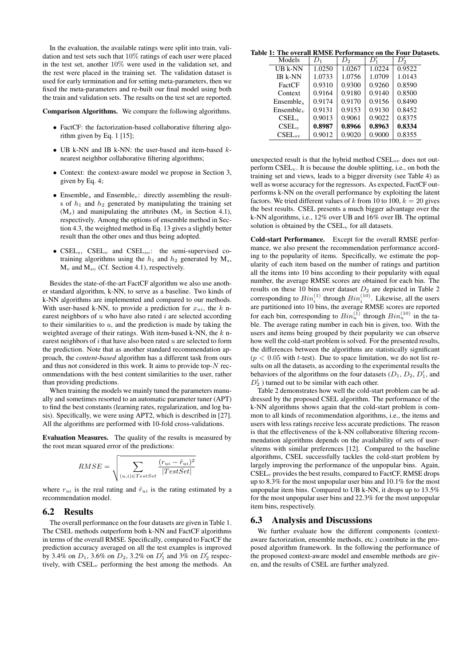In the evaluation, the available ratings were split into train, validation and test sets such that 10% ratings of each user were placed in the test set, another 10% were used in the validation set, and the rest were placed in the training set. The validation dataset is used for early termination and for setting meta-parameters, then we fixed the meta-parameters and re-built our final model using both the train and validation sets. The results on the test set are reported.

Comparison Algorithms. We compare the following algorithms.

- *•* FactCF: the factorization-based collaborative filtering algorithm given by Eq. 1 [15];
- *•* UB k-NN and IB k-NN: the user-based and item-based *k*nearest neighbor collaborative filtering algorithms;
- *•* Context: the context-aware model we propose in Section 3, given by Eq. 4;
- *•* Ensemble*<sup>s</sup>* and Ensemble*v*: directly assembling the results of  $h_1$  and  $h_2$  generated by manipulating the training set  $(M<sub>s</sub>)$  and manipulating the attributes  $(M<sub>v</sub>$  in Section 4.1), respectively. Among the options of ensemble method in Section 4.3, the weighted method in Eq. 13 gives a slightly better result than the other ones and thus being adopted.
- *•* CSEL*s*, CSEL*<sup>v</sup>* and CSEL*sv*: the semi-supervised cotraining algorithms using the  $h_1$  and  $h_2$  generated by  $M_s$ , M*<sup>v</sup>* and M*sv* (Cf. Section 4.1), respectively.

Besides the state-of-the-art FactCF algorithm we also use another standard algorithm, k-NN, to serve as a baseline. Two kinds of k-NN algorithms are implemented and compared to our methods. With user-based k-NN, to provide a prediction for  $x_{ui}$ , the  $k$  nearest neighbors of *u* who have also rated *i* are selected according to their similarities to *u*, and the prediction is made by taking the weighted average of their ratings. With item-based k-NN, the *k* nearest neighbors of *i* that have also been rated *u* are selected to form the prediction. Note that as another standard recommendation approach, the *content-based* algorithm has a different task from ours and thus not considered in this work. It aims to provide top-*N* recommendations with the best content similarities to the user, rather than providing predictions.

When training the models we mainly tuned the parameters manually and sometimes resorted to an automatic parameter tuner (APT) to find the best constants (learning rates, regularization, and log basis). Specifically, we were using APT2, which is described in [27]. All the algorithms are performed with 10-fold cross-validations.

Evaluation Measures. The quality of the results is measured by the root mean squared error of the predictions:

$$
RMSE = \sqrt{\sum_{(u,i) \in TestSet} \frac{(r_{ui} - \hat{r}_{ui})^2}{|TestSet|}}
$$

where  $r_{ui}$  is the real rating and  $\hat{r}_{ui}$  is the rating estimated by a recommendation model.

## 6.2 Results

The overall performance on the four datasets are given in Table 1. The CSEL methods outperform both k-NN and FactCF algorithms in terms of the overall RMSE. Specifically, compared to FactCF the prediction accuracy averaged on all the test examples is improved by 3.4% on  $D_1$ , 3.6% on  $D_2$ , 3.2% on  $D'_1$  and 3% on  $D'_2$  respectively, with CSEL*<sup>v</sup>* performing the best among the methods. An

Table 1: The overall RMSE Performance on the Four Datasets.

| Models                | $D_1$  | $D_2$  | D'.    | D',    |
|-----------------------|--------|--------|--------|--------|
| UB k-NN               | 1.0250 | 1.0267 | 1.0224 | 0.9522 |
| IB k-NN               | 1.0733 | 1.0756 | 1.0709 | 1.0143 |
| FactCF                | 0.9310 | 0.9300 | 0.9260 | 0.8590 |
| Context               | 0.9164 | 0.9180 | 0.9140 | 0.8500 |
| Ensemble.             | 0.9174 | 0.9170 | 0.9156 | 0.8490 |
| Ensemble <sub>v</sub> | 0.9131 | 0.9153 | 0.9130 | 0.8452 |
| CSEL <sub>s</sub>     | 0.9013 | 0.9061 | 0.9022 | 0.8375 |
| $CSEL_{v}$            | 0.8987 | 0.8966 | 0.8963 | 0.8334 |
| $CSEL_{sv}$           | 0.9012 | 0.9020 | 0.9000 | 0.8355 |

unexpected result is that the hybrid method CSEL*sv* does not outperform CSEL*v*. It is because the double splitting, i.e., on both the training set and views, leads to a bigger diversity (see Table 4) as well as worse accuracy for the regressors. As expected, FactCF outperforms k-NN on the overall performance by exploiting the latent factors. We tried different values of  $k$  from 10 to 100,  $k = 20$  gives the best results. CSEL presents a much bigger advantage over the k-NN algorithms, i.e., 12% over UB and 16% over IB. The optimal solution is obtained by the CSEL*<sup>v</sup>* for all datasets.

Cold-start Performance. Except for the overall RMSE performance, we also present the recommendation performance according to the popularity of items. Specifically, we estimate the popularity of each item based on the number of ratings and partition all the items into 10 bins according to their popularity with equal number, the average RMSE scores are obtained for each bin. The results on these 10 bins over dataset *D*<sup>2</sup> are depicted in Table 2 corresponding to  $Bin_i^{(1)}$  through  $Bin_i^{(10)}$ . Likewise, all the users are partitioned into 10 bins, the average RMSE scores are reported for each bin, corresponding to  $Bin<sub>u</sub><sup>(1)</sup>$  through  $Bin<sub>u</sub><sup>(10)</sup>$  in the table. The average rating number in each bin is given, too. With the users and items being grouped by their popularity we can observe how well the cold-start problem is solved. For the presented results, the differences between the algorithms are statistically significant  $(p < 0.05$  with *t*-test). Due to space limitation, we do not list results on all the datasets, as according to the experimental results the behaviors of the algorithms on the four datasets  $(D_1, D_2, D'_1, \text{ and})$  $D'_2$ ) turned out to be similar with each other.

Table 2 demonstrates how well the cold-start problem can be addressed by the proposed CSEL algorithm. The performance of the k-NN algorithms shows again that the cold-start problem is common to all kinds of recommendation algorithms, i.e., the items and users with less ratings receive less accurate predictions. The reason is that the effectiveness of the k-NN collaborative filtering recommendation algorithms depends on the availability of sets of users/items with similar preferences [12]. Compared to the baseline algorithms, CSEL successfully tackles the cold-start problem by largely improving the performance of the unpopular bins. Again, CSEL*<sup>v</sup>* provides the best results, compared to FactCF, RMSE drops up to 8.3% for the most unpopular user bins and 10.1% for the most unpopular item bins. Compared to UB k-NN, it drops up to 13.5% for the most unpopular user bins and 22.3% for the most unpopular item bins, respectively.

#### 6.3 Analysis and Discussions

We further evaluate how the different components (contextaware factorization, ensemble methods, etc.) contribute in the proposed algorithm framework. In the following the performance of the proposed context-aware model and ensemble methods are given, and the results of CSEL are further analyzed.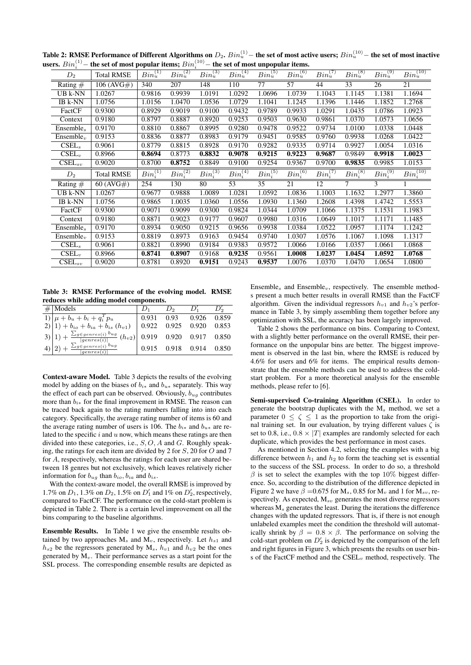| $Bin_u^{(7)}$<br>$Bin_u^{(8)}$<br>$Bin_u^{(9)}$<br>$Bin_u^{(2)}$<br>$Bin_u^{(3)}$<br>$Bin_u^{(5)}$<br>$Bin_u^{(4)}$<br>$Bin_u^{(6)}$<br>$Bin_u^{(1)}$<br>$D_2$<br><b>Total RMSE</b><br>77<br>57<br>33<br>21<br>Rating $#$<br>340<br>207<br>148<br>44<br>26<br>106 (AVG#)<br>110<br>0.9816<br>0.9939<br>1.0292<br>1.1043<br>1.1145<br>1.1381<br>1.1694<br><b>UB k-NN</b><br>1.0191<br>1.0696<br>1.0739<br>1.0267<br>1.0470<br>1.0536<br>1.0729<br>1.1041<br>1.1245<br>1.1396<br>1.1446<br>1.1852<br><b>IB k-NN</b><br>1.0756<br>1.0156<br>1.2768<br>FactCF<br>0.9300<br>0.8929<br>0.9019<br>0.9100<br>0.9432<br>0.9789<br>0.9933<br>1.0291<br>1.0435<br>1.0786<br>1.0923<br>0.9180<br>0.8887<br>0.9253<br>0.9503<br>0.9630<br>0.9861<br>1.0573<br>1.0656<br>0.8797<br>0.8920<br>1.0370<br>Context<br>0.9170<br>0.8810<br>0.8867<br>0.8995<br>0.9280<br>0.9478<br>0.9522<br>1.0100<br>1.0338<br>1.0448<br>0.9734<br>Ensemble <sub>s</sub><br>0.9451<br>0.9938<br>0.9153<br>0.8836<br>0.8877<br>0.8983<br>0.9179<br>0.9585<br>0.9760<br>1.0268<br>1.0422<br>Ensemble <sub>v</sub><br>CSEL <sub>s</sub><br>0.9061<br>0.8815<br>0.8928<br>0.9170<br>0.9282<br>0.9335<br>0.9714<br>0.9927<br>1.0054<br>1.0316<br>0.8779<br>0.9215<br>$CSEL_v$<br>0.8694<br>0.8773<br>0.8832<br>0.9078<br>0.9223<br>0.9687<br>0.9849<br>0.9918<br>1.0023<br>0.8966<br>0.8700<br>0.8752<br>0.8849<br>0.9254<br>0.9367<br>0.9700<br>0.9835<br>0.9985<br>$CSEL_{sv}$<br>0.9020<br>0.9100<br>1.0153<br>$Bin_i^{(10)}$<br>$Bin_i^{(2)}$<br>$Bin_i^{(3)}$<br>$Bin_i^{(8)}$<br>$Bin_i^{(9)}$<br>$Bin^{(4)}_i$<br>$Bin_i^{(5)}$<br>$Bin_i^{(6)}$<br>$Bin_i^{(7)}$<br>$Bin_i^{(1)}$<br>$D_2$<br><b>Total RMSE</b><br>35<br>21<br>12<br>254<br>130<br>53<br>7<br>3<br>Rating $#$<br>60 (AVG#)<br>80<br>0.9888<br>1.0592<br>UB k-NN<br>1.0267<br>1.0089<br>1.0281<br>1.0836<br>1.1003<br>1.1632<br>1.2977<br>1.3860<br>0.9677<br>IB k-NN<br>1.0930<br>1.0756<br>0.9865<br>1.0035<br>1.0360<br>1.0556<br>1.1360<br>1.2608<br>1.4398<br>1.4742<br>1.5553<br>0.9300<br>0.9099<br>1.0344<br>1.0709<br>FactCF<br>0.9071<br>0.9300<br>0.9824<br>1.1066<br>1.1375<br>1.1531<br>1.1983<br>0.9980<br>1.0316<br>1.1017<br>0.9180<br>0.8871<br>0.9023<br>0.9177<br>0.9607<br>1.0649<br>1.1171<br>1.1485<br>Context<br>0.9170<br>0.8934<br>0.9050<br>0.9215<br>0.9938<br>1.0384<br>1.0522<br>1.0957<br>1.1174<br>0.9656<br>1.1242<br>Ensemble <sub>s</sub><br>1.1317<br>0.9153<br>0.8819<br>0.8973<br>0.9163<br>0.9740<br>1.0307<br>1.1067<br>$Ensemble_v$<br>0.9454<br>1.0576<br>1.1098<br>CSEL <sub>s</sub><br>0.9061<br>1.0066<br>1.0357<br>1.0868<br>0.8821<br>0.8990<br>0.9184<br>0.9383<br>0.9572<br>1.0166<br>1.0661<br>$CSEL_v$<br>0.8907<br>0.9235<br>0.9561<br>1.0008<br>1.0454<br>0.8966<br>0.8741<br>0.9168<br>1.0237<br>1.0592<br>1.0768<br>0.9243<br>0.9537<br>$CSEL_{sv}$<br>0.9020<br>0.8920<br>0.9151<br>1.0076<br>1.0370<br>1.0470<br>1.0654<br>1.0800<br>0.8781 | $\mathbf{v}$ and $\mathbf{v}$ and $\mathbf{v}$ | ence see of most popular nealing $D\ell\ell v_i$ |  |  | the set of most anpopular froms |  |  |                |
|--------------------------------------------------------------------------------------------------------------------------------------------------------------------------------------------------------------------------------------------------------------------------------------------------------------------------------------------------------------------------------------------------------------------------------------------------------------------------------------------------------------------------------------------------------------------------------------------------------------------------------------------------------------------------------------------------------------------------------------------------------------------------------------------------------------------------------------------------------------------------------------------------------------------------------------------------------------------------------------------------------------------------------------------------------------------------------------------------------------------------------------------------------------------------------------------------------------------------------------------------------------------------------------------------------------------------------------------------------------------------------------------------------------------------------------------------------------------------------------------------------------------------------------------------------------------------------------------------------------------------------------------------------------------------------------------------------------------------------------------------------------------------------------------------------------------------------------------------------------------------------------------------------------------------------------------------------------------------------------------------------------------------------------------------------------------------------------------------------------------------------------------------------------------------------------------------------------------------------------------------------------------------------------------------------------------------------------------------------------------------------------------------------------------------------------------------------------------------------------------------------------------------------------------------------------------------------------------------------------------------------------------------------------------------------------------------------------------------------------------------------------------------------------------------------------------------------------------------------------------------------------------------------------------------------------|------------------------------------------------|--------------------------------------------------|--|--|---------------------------------|--|--|----------------|
|                                                                                                                                                                                                                                                                                                                                                                                                                                                                                                                                                                                                                                                                                                                                                                                                                                                                                                                                                                                                                                                                                                                                                                                                                                                                                                                                                                                                                                                                                                                                                                                                                                                                                                                                                                                                                                                                                                                                                                                                                                                                                                                                                                                                                                                                                                                                                                                                                                                                                                                                                                                                                                                                                                                                                                                                                                                                                                                                      |                                                |                                                  |  |  |                                 |  |  | $Bin_u^{(10)}$ |
|                                                                                                                                                                                                                                                                                                                                                                                                                                                                                                                                                                                                                                                                                                                                                                                                                                                                                                                                                                                                                                                                                                                                                                                                                                                                                                                                                                                                                                                                                                                                                                                                                                                                                                                                                                                                                                                                                                                                                                                                                                                                                                                                                                                                                                                                                                                                                                                                                                                                                                                                                                                                                                                                                                                                                                                                                                                                                                                                      |                                                |                                                  |  |  |                                 |  |  |                |
|                                                                                                                                                                                                                                                                                                                                                                                                                                                                                                                                                                                                                                                                                                                                                                                                                                                                                                                                                                                                                                                                                                                                                                                                                                                                                                                                                                                                                                                                                                                                                                                                                                                                                                                                                                                                                                                                                                                                                                                                                                                                                                                                                                                                                                                                                                                                                                                                                                                                                                                                                                                                                                                                                                                                                                                                                                                                                                                                      |                                                |                                                  |  |  |                                 |  |  |                |
|                                                                                                                                                                                                                                                                                                                                                                                                                                                                                                                                                                                                                                                                                                                                                                                                                                                                                                                                                                                                                                                                                                                                                                                                                                                                                                                                                                                                                                                                                                                                                                                                                                                                                                                                                                                                                                                                                                                                                                                                                                                                                                                                                                                                                                                                                                                                                                                                                                                                                                                                                                                                                                                                                                                                                                                                                                                                                                                                      |                                                |                                                  |  |  |                                 |  |  |                |
|                                                                                                                                                                                                                                                                                                                                                                                                                                                                                                                                                                                                                                                                                                                                                                                                                                                                                                                                                                                                                                                                                                                                                                                                                                                                                                                                                                                                                                                                                                                                                                                                                                                                                                                                                                                                                                                                                                                                                                                                                                                                                                                                                                                                                                                                                                                                                                                                                                                                                                                                                                                                                                                                                                                                                                                                                                                                                                                                      |                                                |                                                  |  |  |                                 |  |  |                |
|                                                                                                                                                                                                                                                                                                                                                                                                                                                                                                                                                                                                                                                                                                                                                                                                                                                                                                                                                                                                                                                                                                                                                                                                                                                                                                                                                                                                                                                                                                                                                                                                                                                                                                                                                                                                                                                                                                                                                                                                                                                                                                                                                                                                                                                                                                                                                                                                                                                                                                                                                                                                                                                                                                                                                                                                                                                                                                                                      |                                                |                                                  |  |  |                                 |  |  |                |
|                                                                                                                                                                                                                                                                                                                                                                                                                                                                                                                                                                                                                                                                                                                                                                                                                                                                                                                                                                                                                                                                                                                                                                                                                                                                                                                                                                                                                                                                                                                                                                                                                                                                                                                                                                                                                                                                                                                                                                                                                                                                                                                                                                                                                                                                                                                                                                                                                                                                                                                                                                                                                                                                                                                                                                                                                                                                                                                                      |                                                |                                                  |  |  |                                 |  |  |                |
|                                                                                                                                                                                                                                                                                                                                                                                                                                                                                                                                                                                                                                                                                                                                                                                                                                                                                                                                                                                                                                                                                                                                                                                                                                                                                                                                                                                                                                                                                                                                                                                                                                                                                                                                                                                                                                                                                                                                                                                                                                                                                                                                                                                                                                                                                                                                                                                                                                                                                                                                                                                                                                                                                                                                                                                                                                                                                                                                      |                                                |                                                  |  |  |                                 |  |  |                |
|                                                                                                                                                                                                                                                                                                                                                                                                                                                                                                                                                                                                                                                                                                                                                                                                                                                                                                                                                                                                                                                                                                                                                                                                                                                                                                                                                                                                                                                                                                                                                                                                                                                                                                                                                                                                                                                                                                                                                                                                                                                                                                                                                                                                                                                                                                                                                                                                                                                                                                                                                                                                                                                                                                                                                                                                                                                                                                                                      |                                                |                                                  |  |  |                                 |  |  |                |
|                                                                                                                                                                                                                                                                                                                                                                                                                                                                                                                                                                                                                                                                                                                                                                                                                                                                                                                                                                                                                                                                                                                                                                                                                                                                                                                                                                                                                                                                                                                                                                                                                                                                                                                                                                                                                                                                                                                                                                                                                                                                                                                                                                                                                                                                                                                                                                                                                                                                                                                                                                                                                                                                                                                                                                                                                                                                                                                                      |                                                |                                                  |  |  |                                 |  |  |                |
|                                                                                                                                                                                                                                                                                                                                                                                                                                                                                                                                                                                                                                                                                                                                                                                                                                                                                                                                                                                                                                                                                                                                                                                                                                                                                                                                                                                                                                                                                                                                                                                                                                                                                                                                                                                                                                                                                                                                                                                                                                                                                                                                                                                                                                                                                                                                                                                                                                                                                                                                                                                                                                                                                                                                                                                                                                                                                                                                      |                                                |                                                  |  |  |                                 |  |  |                |
|                                                                                                                                                                                                                                                                                                                                                                                                                                                                                                                                                                                                                                                                                                                                                                                                                                                                                                                                                                                                                                                                                                                                                                                                                                                                                                                                                                                                                                                                                                                                                                                                                                                                                                                                                                                                                                                                                                                                                                                                                                                                                                                                                                                                                                                                                                                                                                                                                                                                                                                                                                                                                                                                                                                                                                                                                                                                                                                                      |                                                |                                                  |  |  |                                 |  |  |                |
|                                                                                                                                                                                                                                                                                                                                                                                                                                                                                                                                                                                                                                                                                                                                                                                                                                                                                                                                                                                                                                                                                                                                                                                                                                                                                                                                                                                                                                                                                                                                                                                                                                                                                                                                                                                                                                                                                                                                                                                                                                                                                                                                                                                                                                                                                                                                                                                                                                                                                                                                                                                                                                                                                                                                                                                                                                                                                                                                      |                                                |                                                  |  |  |                                 |  |  |                |
|                                                                                                                                                                                                                                                                                                                                                                                                                                                                                                                                                                                                                                                                                                                                                                                                                                                                                                                                                                                                                                                                                                                                                                                                                                                                                                                                                                                                                                                                                                                                                                                                                                                                                                                                                                                                                                                                                                                                                                                                                                                                                                                                                                                                                                                                                                                                                                                                                                                                                                                                                                                                                                                                                                                                                                                                                                                                                                                                      |                                                |                                                  |  |  |                                 |  |  |                |
|                                                                                                                                                                                                                                                                                                                                                                                                                                                                                                                                                                                                                                                                                                                                                                                                                                                                                                                                                                                                                                                                                                                                                                                                                                                                                                                                                                                                                                                                                                                                                                                                                                                                                                                                                                                                                                                                                                                                                                                                                                                                                                                                                                                                                                                                                                                                                                                                                                                                                                                                                                                                                                                                                                                                                                                                                                                                                                                                      |                                                |                                                  |  |  |                                 |  |  |                |
|                                                                                                                                                                                                                                                                                                                                                                                                                                                                                                                                                                                                                                                                                                                                                                                                                                                                                                                                                                                                                                                                                                                                                                                                                                                                                                                                                                                                                                                                                                                                                                                                                                                                                                                                                                                                                                                                                                                                                                                                                                                                                                                                                                                                                                                                                                                                                                                                                                                                                                                                                                                                                                                                                                                                                                                                                                                                                                                                      |                                                |                                                  |  |  |                                 |  |  |                |
|                                                                                                                                                                                                                                                                                                                                                                                                                                                                                                                                                                                                                                                                                                                                                                                                                                                                                                                                                                                                                                                                                                                                                                                                                                                                                                                                                                                                                                                                                                                                                                                                                                                                                                                                                                                                                                                                                                                                                                                                                                                                                                                                                                                                                                                                                                                                                                                                                                                                                                                                                                                                                                                                                                                                                                                                                                                                                                                                      |                                                |                                                  |  |  |                                 |  |  |                |
|                                                                                                                                                                                                                                                                                                                                                                                                                                                                                                                                                                                                                                                                                                                                                                                                                                                                                                                                                                                                                                                                                                                                                                                                                                                                                                                                                                                                                                                                                                                                                                                                                                                                                                                                                                                                                                                                                                                                                                                                                                                                                                                                                                                                                                                                                                                                                                                                                                                                                                                                                                                                                                                                                                                                                                                                                                                                                                                                      |                                                |                                                  |  |  |                                 |  |  |                |
|                                                                                                                                                                                                                                                                                                                                                                                                                                                                                                                                                                                                                                                                                                                                                                                                                                                                                                                                                                                                                                                                                                                                                                                                                                                                                                                                                                                                                                                                                                                                                                                                                                                                                                                                                                                                                                                                                                                                                                                                                                                                                                                                                                                                                                                                                                                                                                                                                                                                                                                                                                                                                                                                                                                                                                                                                                                                                                                                      |                                                |                                                  |  |  |                                 |  |  |                |
|                                                                                                                                                                                                                                                                                                                                                                                                                                                                                                                                                                                                                                                                                                                                                                                                                                                                                                                                                                                                                                                                                                                                                                                                                                                                                                                                                                                                                                                                                                                                                                                                                                                                                                                                                                                                                                                                                                                                                                                                                                                                                                                                                                                                                                                                                                                                                                                                                                                                                                                                                                                                                                                                                                                                                                                                                                                                                                                                      |                                                |                                                  |  |  |                                 |  |  |                |
|                                                                                                                                                                                                                                                                                                                                                                                                                                                                                                                                                                                                                                                                                                                                                                                                                                                                                                                                                                                                                                                                                                                                                                                                                                                                                                                                                                                                                                                                                                                                                                                                                                                                                                                                                                                                                                                                                                                                                                                                                                                                                                                                                                                                                                                                                                                                                                                                                                                                                                                                                                                                                                                                                                                                                                                                                                                                                                                                      |                                                |                                                  |  |  |                                 |  |  |                |
|                                                                                                                                                                                                                                                                                                                                                                                                                                                                                                                                                                                                                                                                                                                                                                                                                                                                                                                                                                                                                                                                                                                                                                                                                                                                                                                                                                                                                                                                                                                                                                                                                                                                                                                                                                                                                                                                                                                                                                                                                                                                                                                                                                                                                                                                                                                                                                                                                                                                                                                                                                                                                                                                                                                                                                                                                                                                                                                                      |                                                |                                                  |  |  |                                 |  |  |                |

Table 2: RMSE Performance of Different Algorithms on  $D_2$ .  $Bin_u^{(1)}-$  the set of most active users;  $Bin_u^{(10)}-$  the set of most inactive users.  $Bin_i^{(1)}$  – the set of most popular items;  $Bin_i^{(10)}$  – the set of most unpopular items.

Table 3: RMSE Performance of the evolving model. RMSE reduces while adding model components.

| $\#$ Models                                                                                                        |       | $D_2$ |                         |       |
|--------------------------------------------------------------------------------------------------------------------|-------|-------|-------------------------|-------|
| 1) $\mu + b_u + b_i + q_i^T p_u$                                                                                   | 0.931 |       | 0.93 0.926              | 0.859 |
| $(2)$ (1) + $b_{io}$ + $b_{ia}$ + $b_{is}$ ( $h_{v1}$ )   0.922                                                    |       | 0.925 | 0.920 0.853             |       |
| 3) $\left  1 \right) + \frac{\sum_{g \in gerres(i)} b_{ug}}{ genres(i) } (h_{v2}) \right  0.919 0.920 0.917 0.850$ |       |       |                         |       |
| $(4)$ $\left 2\right)$ + $\frac{\sum_{g \in genres(i)} b_{ug}}{2}$<br> genres(i)                                   |       |       | 0.915 0.918 0.914 0.850 |       |

Context-aware Model. Table 3 depicts the results of the evolving model by adding on the biases of  $b_{i*}$  and  $b_{u*}$  separately. This way the effect of each part can be observed. Obviously,  $b_{uq}$  contributes more than *b<sup>i</sup><sup>∗</sup>* for the final improvement in RMSE. The reason can be traced back again to the rating numbers falling into into each category. Specifically, the average rating number of items is 60 and the average rating number of users is 106. The  $b_{i*}$  and  $b_{u*}$  are related to the specific *i* and *u* now, which means these ratings are then divided into these categories, i.e., *S, O, A* and *G*. Roughly speaking, the ratings for each item are divided by 2 for *S*, 20 for *O* and 7 for *A*, respectively, whereas the ratings for each user are shared between 18 genres but not exclusively, which leaves relatively richer information for  $b_{uq}$  than  $b_{io}$ ,  $b_{ia}$  and  $b_{is}$ .

With the context-aware model, the overall RMSE is improved by 1.7% on  $D_1$ , 1.3% on  $D_2$ , 1.5% on  $D'_1$  and 1% on  $D'_2$ , respectively, compared to FactCF. The performance on the cold-start problem is depicted in Table 2. There is a certain level improvement on all the bins comparing to the baseline algorithms.

Ensemble Results. In Table 1 we give the ensemble results obtained by two approaches  $M_s$  and  $M_v$ , respectively. Let  $h_{s1}$  and  $h_{s2}$  be the regressors generated by  $M_s$ ,  $h_{v1}$  and  $h_{v2}$  be the ones generated by  $M_v$ . Their performance serves as a start point for the SSL process. The corresponding ensemble results are depicted as

Ensemble*<sup>s</sup>* and Ensemble*v*, respectively. The ensemble methods present a much better results in overall RMSE than the FactCF algorithm. Given the individual regressors  $h_{v1}$  and  $h_{v2}$ 's performance in Table 3, by simply assembling them together before any optimization with SSL, the accuracy has been largely improved.

Table 2 shows the performance on bins. Comparing to Context, with a slightly better performance on the overall RMSE, their performance on the unpopular bins are better. The biggest improvement is observed in the last bin, where the RMSE is reduced by 4.6% for users and 6% for items. The empirical results demonstrate that the ensemble methods can be used to address the coldstart problem. For a more theoretical analysis for the ensemble methods, please refer to [6].

Semi-supervised Co-training Algorithm (CSEL). In order to generate the bootstrap duplicates with the M*<sup>s</sup>* method, we set a parameter  $0 \le \zeta \le 1$  as the proportion to take from the original training set. In our evaluation, by trying different values  $\zeta$  is set to 0.8, i.e.,  $0.8 \times |T|$  examples are randomly selected for each duplicate, which provides the best performance in most cases.

As mentioned in Section 4.2, selecting the examples with a big difference between  $h_1$  and  $h_2$  to form the teaching set is essential to the success of the SSL process. In order to do so, a threshold *β* is set to select the examples with the top 10% biggest difference. So, according to the distribution of the difference depicted in Figure 2 we have  $\beta = 0.675$  for  $M_s$ , 0.85 for  $M_v$  and 1 for  $M_{sv}$ , respectively. As expected, M*sv* generates the most diverse regressors whereas  $M_s$  generates the least. During the iterations the difference changes with the updated regressors. That is, if there is not enough unlabeled examples meet the condition the threshold will automatically shrink by  $\beta = 0.8 \times \beta$ . The performance on solving the cold-start problem on  $D'_2$  is depicted by the comparison of the left and right figures in Figure 3, which presents the results on user bins of the FactCF method and the CSEL*<sup>v</sup>* method, respectively. The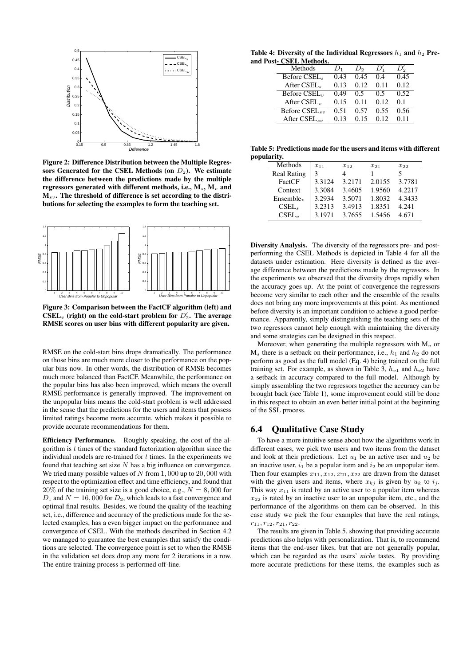

Figure 2: Difference Distribution between the Multiple Regressors Generated for the CSEL Methods (on  $D_2$ ). We estimate the difference between the predictions made by the multiple regressors generated with different methods, i.e., M*s*, M*<sup>v</sup>* and M*sv*. The threshold of difference is set according to the distributions for selecting the examples to form the teaching set.



Figure 3: Comparison between the FactCF algorithm (left) and  $CSEL_v$  (right) on the cold-start problem for  $D'_2$ . The average RMSE scores on user bins with different popularity are given.

RMSE on the cold-start bins drops dramatically. The performance on those bins are much more closer to the performance on the popular bins now. In other words, the distribution of RMSE becomes much more balanced than FactCF. Meanwhile, the performance on the popular bins has also been improved, which means the overall RMSE performance is generally improved. The improvement on the unpopular bins means the cold-start problem is well addressed in the sense that the predictions for the users and items that possess limited ratings become more accurate, which makes it possible to provide accurate recommendations for them.

Efficiency Performance. Roughly speaking, the cost of the algorithm is *t* times of the standard factorization algorithm since the individual models are re-trained for *t* times. In the experiments we found that teaching set size *N* has a big influence on convergence. We tried many possible values of *N* from 1*,* 000 up to 20*,* 000 with respect to the optimization effect and time efficiency, and found that  $20\%$  of the training set size is a good choice, e.g.,  $N = 8,000$  for  $D_1$  and  $N = 16,000$  for  $D_2$ , which leads to a fast convergence and optimal final results. Besides, we found the quality of the teaching set, i.e., difference and accuracy of the predictions made for the selected examples, has a even bigger impact on the performance and convergence of CSEL. With the methods described in Section 4.2 we managed to guarantee the best examples that satisfy the conditions are selected. The convergence point is set to when the RMSE in the validation set does drop any more for 2 iterations in a row. The entire training process is performed off-line.

Table 4: Diversity of the Individual Regressors  $h_1$  and  $h_2$  Preand Post- CSEL Methods

| я сэглэгийн б           |      |      |      |      |
|-------------------------|------|------|------|------|
| Methods                 |      | D,   |      |      |
| Before $CSELs$          | 0.43 | 0.45 | 0.4  | 0.45 |
| After CSEL <sub>s</sub> | 0.13 | 0.12 | 0.11 | 0.12 |
| Before $CSEL_v$         | 0.49 | 0.5  | 0.5  | 0.52 |
| After $CSEL_v$          | 0.15 | 0.11 | 0.12 | 0.1  |
| Before $CSEL_{sv}$      | 0.51 | 0.57 | 0.55 | 0.56 |
| After $CSEL_{sv}$       |      | 0.15 | 0.12 |      |

Table 5: Predictions made for the users and items with different popularity.

| Methods               | $x_{11}$ | $x_{12}$ | $x_{21}$ | $x_{22}$ |
|-----------------------|----------|----------|----------|----------|
| <b>Real Rating</b>    | 3        |          |          |          |
| FactCF                | 3.3124   | 3.2171   | 2.0155   | 3.7781   |
| Context               | 3.3084   | 3.4605   | 1.9560   | 4.2217   |
| Ensemble <sub>v</sub> | 3.2934   | 3.5071   | 1.8032   | 4.3433   |
| CSEL <sub>s</sub>     | 3.2313   | 3.4913   | 1.8351   | 4.241    |
| $CSEL_{v}$            | 3.1971   | 3.7655   | 1.5456   | 4.671    |

Diversity Analysis. The diversity of the regressors pre- and postperforming the CSEL Methods is depicted in Table 4 for all the datasets under estimation. Here diversity is defined as the average difference between the predictions made by the regressors. In the experiments we observed that the diversity drops rapidly when the accuracy goes up. At the point of convergence the regressors become very similar to each other and the ensemble of the results does not bring any more improvements at this point. As mentioned before diversity is an important condition to achieve a good performance. Apparently, simply distinguishing the teaching sets of the two regressors cannot help enough with maintaining the diversity and some strategies can be designed in this respect.

Moreover, when generating the multiple regressors with  $M_v$  or  $M<sub>s</sub>$  there is a setback on their performance, i.e.,  $h<sub>1</sub>$  and  $h<sub>2</sub>$  do not perform as good as the full model (Eq. 4) being trained on the full training set. For example, as shown in Table 3,  $h_{v1}$  and  $h_{v2}$  have a setback in accuracy compared to the full model. Although by simply assembling the two regressors together the accuracy can be brought back (see Table 1), some improvement could still be done in this respect to obtain an even better initial point at the beginning of the SSL process.

## 6.4 Qualitative Case Study

To have a more intuitive sense about how the algorithms work in different cases, we pick two users and two items from the dataset and look at their predictions. Let  $u_1$  be an active user and  $u_2$  be an inactive user,  $i_1$  be a popular item and  $i_2$  be an unpopular item. Then four examples  $x_{11}, x_{12}, x_{21}, x_{22}$  are drawn from the dataset with the given users and items, where  $x_{kj}$  is given by  $u_k$  to  $i_j$ . This way  $x_{11}$  is rated by an active user to a popular item whereas  $x_{22}$  is rated by an inactive user to an unpopular item, etc., and the performance of the algorithms on them can be observed. In this case study we pick the four examples that have the real ratings, *r*11*, r*12*, r*21*, r*22.

The results are given in Table 5, showing that providing accurate predictions also helps with personalization. That is, to recommend items that the end-user likes, but that are not generally popular, which can be regarded as the users' *niche* tastes. By providing more accurate predictions for these items, the examples such as